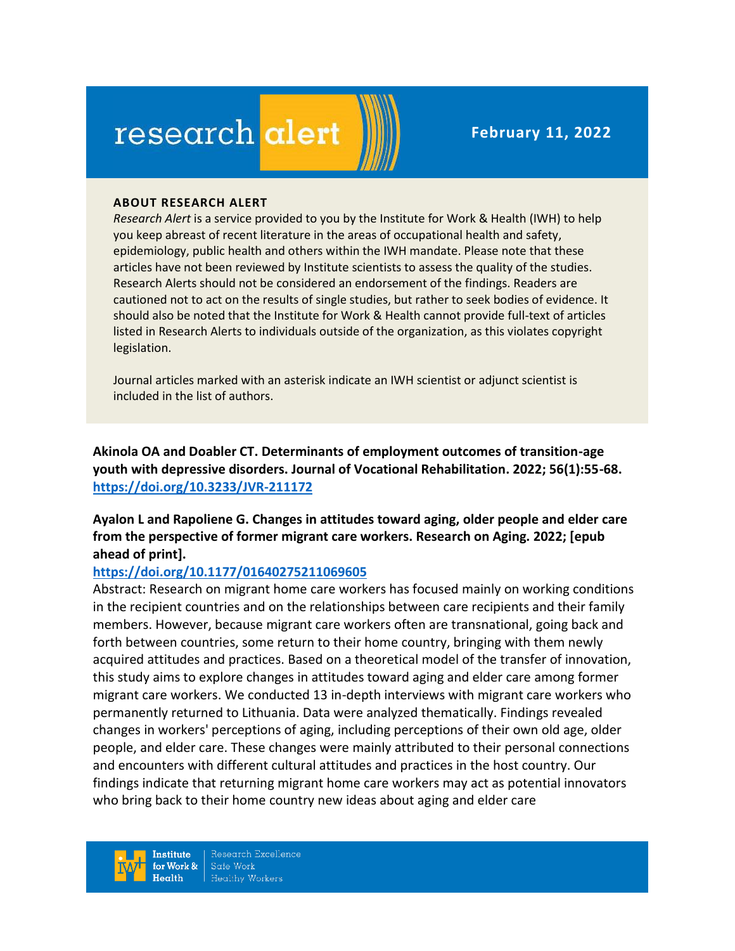# research alert

#### **ABOUT RESEARCH ALERT**

*Research Alert* is a service provided to you by the Institute for Work & Health (IWH) to help you keep abreast of recent literature in the areas of occupational health and safety, epidemiology, public health and others within the IWH mandate. Please note that these articles have not been reviewed by Institute scientists to assess the quality of the studies. Research Alerts should not be considered an endorsement of the findings. Readers are cautioned not to act on the results of single studies, but rather to seek bodies of evidence. It should also be noted that the Institute for Work & Health cannot provide full-text of articles listed in Research Alerts to individuals outside of the organization, as this violates copyright legislation.

Journal articles marked with an asterisk indicate an IWH scientist or adjunct scientist is included in the list of authors.

**Akinola OA and Doabler CT. Determinants of employment outcomes of transition-age youth with depressive disorders. Journal of Vocational Rehabilitation. 2022; 56(1):55-68. <https://doi.org/10.3233/JVR-211172>** 

**Ayalon L and Rapoliene G. Changes in attitudes toward aging, older people and elder care from the perspective of former migrant care workers. Research on Aging. 2022; [epub ahead of print].**

#### **<https://doi.org/10.1177/01640275211069605>**

Abstract: Research on migrant home care workers has focused mainly on working conditions in the recipient countries and on the relationships between care recipients and their family members. However, because migrant care workers often are transnational, going back and forth between countries, some return to their home country, bringing with them newly acquired attitudes and practices. Based on a theoretical model of the transfer of innovation, this study aims to explore changes in attitudes toward aging and elder care among former migrant care workers. We conducted 13 in-depth interviews with migrant care workers who permanently returned to Lithuania. Data were analyzed thematically. Findings revealed changes in workers' perceptions of aging, including perceptions of their own old age, older people, and elder care. These changes were mainly attributed to their personal connections and encounters with different cultural attitudes and practices in the host country. Our findings indicate that returning migrant home care workers may act as potential innovators who bring back to their home country new ideas about aging and elder care

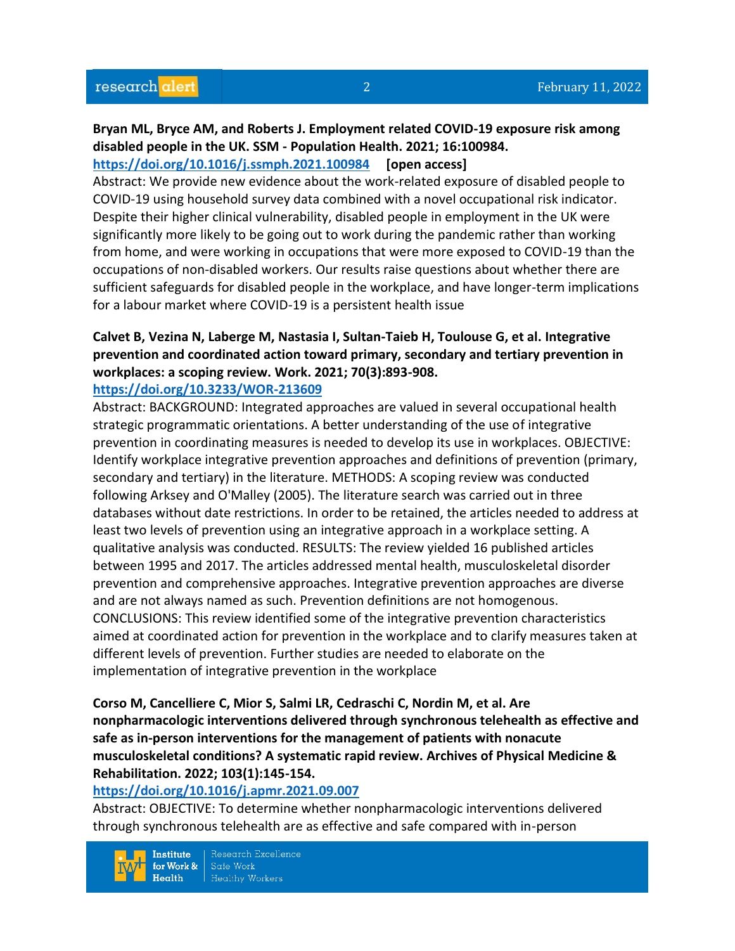#### **Bryan ML, Bryce AM, and Roberts J. Employment related COVID-19 exposure risk among disabled people in the UK. SSM - Population Health. 2021; 16:100984. <https://doi.org/10.1016/j.ssmph.2021.100984> [open access]**

Abstract: We provide new evidence about the work-related exposure of disabled people to COVID-19 using household survey data combined with a novel occupational risk indicator. Despite their higher clinical vulnerability, disabled people in employment in the UK were significantly more likely to be going out to work during the pandemic rather than working from home, and were working in occupations that were more exposed to COVID-19 than the occupations of non-disabled workers. Our results raise questions about whether there are sufficient safeguards for disabled people in the workplace, and have longer-term implications for a labour market where COVID-19 is a persistent health issue

# **Calvet B, Vezina N, Laberge M, Nastasia I, Sultan-Taieb H, Toulouse G, et al. Integrative prevention and coordinated action toward primary, secondary and tertiary prevention in workplaces: a scoping review. Work. 2021; 70(3):893-908.**

#### **<https://doi.org/10.3233/WOR-213609>**

Abstract: BACKGROUND: Integrated approaches are valued in several occupational health strategic programmatic orientations. A better understanding of the use of integrative prevention in coordinating measures is needed to develop its use in workplaces. OBJECTIVE: Identify workplace integrative prevention approaches and definitions of prevention (primary, secondary and tertiary) in the literature. METHODS: A scoping review was conducted following Arksey and O'Malley (2005). The literature search was carried out in three databases without date restrictions. In order to be retained, the articles needed to address at least two levels of prevention using an integrative approach in a workplace setting. A qualitative analysis was conducted. RESULTS: The review yielded 16 published articles between 1995 and 2017. The articles addressed mental health, musculoskeletal disorder prevention and comprehensive approaches. Integrative prevention approaches are diverse and are not always named as such. Prevention definitions are not homogenous. CONCLUSIONS: This review identified some of the integrative prevention characteristics aimed at coordinated action for prevention in the workplace and to clarify measures taken at different levels of prevention. Further studies are needed to elaborate on the implementation of integrative prevention in the workplace

# **Corso M, Cancelliere C, Mior S, Salmi LR, Cedraschi C, Nordin M, et al. Are nonpharmacologic interventions delivered through synchronous telehealth as effective and safe as in-person interventions for the management of patients with nonacute musculoskeletal conditions? A systematic rapid review. Archives of Physical Medicine & Rehabilitation. 2022; 103(1):145-154.**

#### **<https://doi.org/10.1016/j.apmr.2021.09.007>**

Abstract: OBJECTIVE: To determine whether nonpharmacologic interventions delivered through synchronous telehealth are as effective and safe compared with in-person

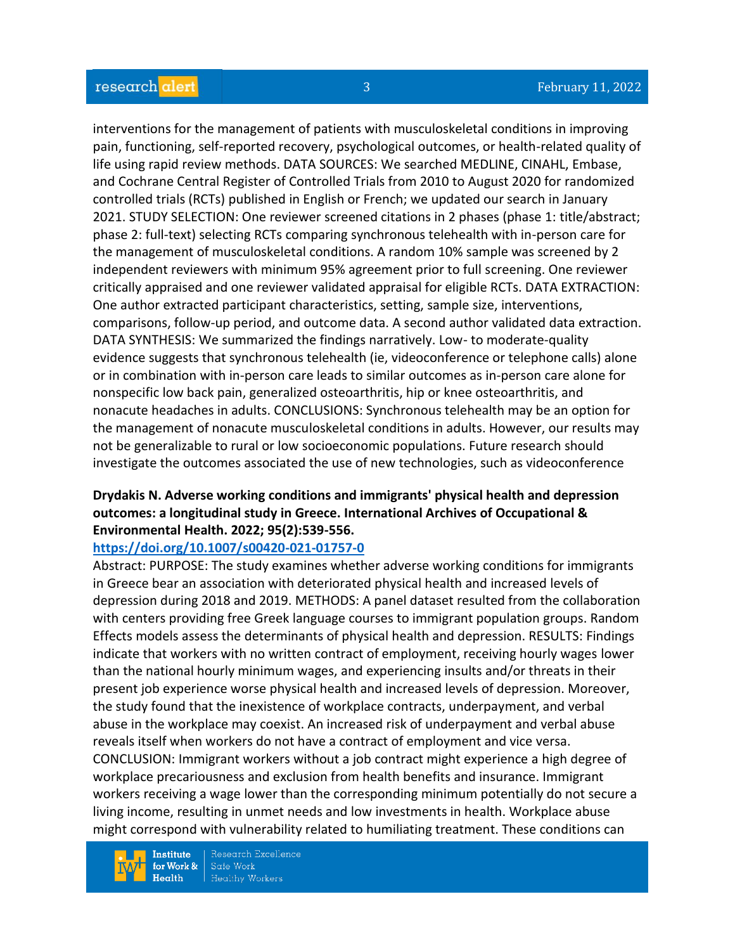interventions for the management of patients with musculoskeletal conditions in improving pain, functioning, self-reported recovery, psychological outcomes, or health-related quality of life using rapid review methods. DATA SOURCES: We searched MEDLINE, CINAHL, Embase, and Cochrane Central Register of Controlled Trials from 2010 to August 2020 for randomized controlled trials (RCTs) published in English or French; we updated our search in January 2021. STUDY SELECTION: One reviewer screened citations in 2 phases (phase 1: title/abstract; phase 2: full-text) selecting RCTs comparing synchronous telehealth with in-person care for the management of musculoskeletal conditions. A random 10% sample was screened by 2 independent reviewers with minimum 95% agreement prior to full screening. One reviewer critically appraised and one reviewer validated appraisal for eligible RCTs. DATA EXTRACTION: One author extracted participant characteristics, setting, sample size, interventions, comparisons, follow-up period, and outcome data. A second author validated data extraction. DATA SYNTHESIS: We summarized the findings narratively. Low- to moderate-quality evidence suggests that synchronous telehealth (ie, videoconference or telephone calls) alone or in combination with in-person care leads to similar outcomes as in-person care alone for nonspecific low back pain, generalized osteoarthritis, hip or knee osteoarthritis, and nonacute headaches in adults. CONCLUSIONS: Synchronous telehealth may be an option for the management of nonacute musculoskeletal conditions in adults. However, our results may not be generalizable to rural or low socioeconomic populations. Future research should investigate the outcomes associated the use of new technologies, such as videoconference

#### **Drydakis N. Adverse working conditions and immigrants' physical health and depression outcomes: a longitudinal study in Greece. International Archives of Occupational & Environmental Health. 2022; 95(2):539-556.**

#### **<https://doi.org/10.1007/s00420-021-01757-0>**

Abstract: PURPOSE: The study examines whether adverse working conditions for immigrants in Greece bear an association with deteriorated physical health and increased levels of depression during 2018 and 2019. METHODS: A panel dataset resulted from the collaboration with centers providing free Greek language courses to immigrant population groups. Random Effects models assess the determinants of physical health and depression. RESULTS: Findings indicate that workers with no written contract of employment, receiving hourly wages lower than the national hourly minimum wages, and experiencing insults and/or threats in their present job experience worse physical health and increased levels of depression. Moreover, the study found that the inexistence of workplace contracts, underpayment, and verbal abuse in the workplace may coexist. An increased risk of underpayment and verbal abuse reveals itself when workers do not have a contract of employment and vice versa. CONCLUSION: Immigrant workers without a job contract might experience a high degree of workplace precariousness and exclusion from health benefits and insurance. Immigrant workers receiving a wage lower than the corresponding minimum potentially do not secure a living income, resulting in unmet needs and low investments in health. Workplace abuse might correspond with vulnerability related to humiliating treatment. These conditions can

**Institute** for Work &  $Health$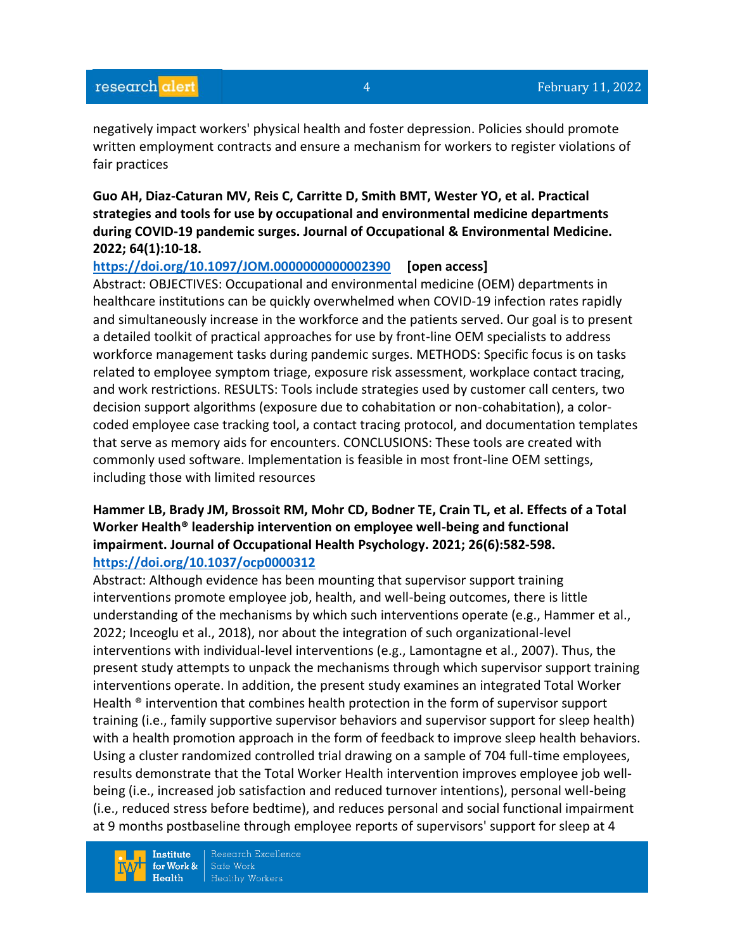negatively impact workers' physical health and foster depression. Policies should promote written employment contracts and ensure a mechanism for workers to register violations of fair practices

**Guo AH, Diaz-Caturan MV, Reis C, Carritte D, Smith BMT, Wester YO, et al. Practical strategies and tools for use by occupational and environmental medicine departments during COVID-19 pandemic surges. Journal of Occupational & Environmental Medicine. 2022; 64(1):10-18.** 

#### **<https://doi.org/10.1097/JOM.0000000000002390> [open access]**

Abstract: OBJECTIVES: Occupational and environmental medicine (OEM) departments in healthcare institutions can be quickly overwhelmed when COVID-19 infection rates rapidly and simultaneously increase in the workforce and the patients served. Our goal is to present a detailed toolkit of practical approaches for use by front-line OEM specialists to address workforce management tasks during pandemic surges. METHODS: Specific focus is on tasks related to employee symptom triage, exposure risk assessment, workplace contact tracing, and work restrictions. RESULTS: Tools include strategies used by customer call centers, two decision support algorithms (exposure due to cohabitation or non-cohabitation), a colorcoded employee case tracking tool, a contact tracing protocol, and documentation templates that serve as memory aids for encounters. CONCLUSIONS: These tools are created with commonly used software. Implementation is feasible in most front-line OEM settings, including those with limited resources

#### **Hammer LB, Brady JM, Brossoit RM, Mohr CD, Bodner TE, Crain TL, et al. Effects of a Total Worker Health® leadership intervention on employee well-being and functional impairment. Journal of Occupational Health Psychology. 2021; 26(6):582-598. <https://doi.org/10.1037/ocp0000312>**

Abstract: Although evidence has been mounting that supervisor support training interventions promote employee job, health, and well-being outcomes, there is little understanding of the mechanisms by which such interventions operate (e.g., Hammer et al., 2022; Inceoglu et al., 2018), nor about the integration of such organizational-level interventions with individual-level interventions (e.g., Lamontagne et al., 2007). Thus, the present study attempts to unpack the mechanisms through which supervisor support training interventions operate. In addition, the present study examines an integrated Total Worker Health <sup>®</sup> intervention that combines health protection in the form of supervisor support training (i.e., family supportive supervisor behaviors and supervisor support for sleep health) with a health promotion approach in the form of feedback to improve sleep health behaviors. Using a cluster randomized controlled trial drawing on a sample of 704 full-time employees, results demonstrate that the Total Worker Health intervention improves employee job wellbeing (i.e., increased job satisfaction and reduced turnover intentions), personal well-being (i.e., reduced stress before bedtime), and reduces personal and social functional impairment at 9 months postbaseline through employee reports of supervisors' support for sleep at 4

**Institute** for Work &  $Health$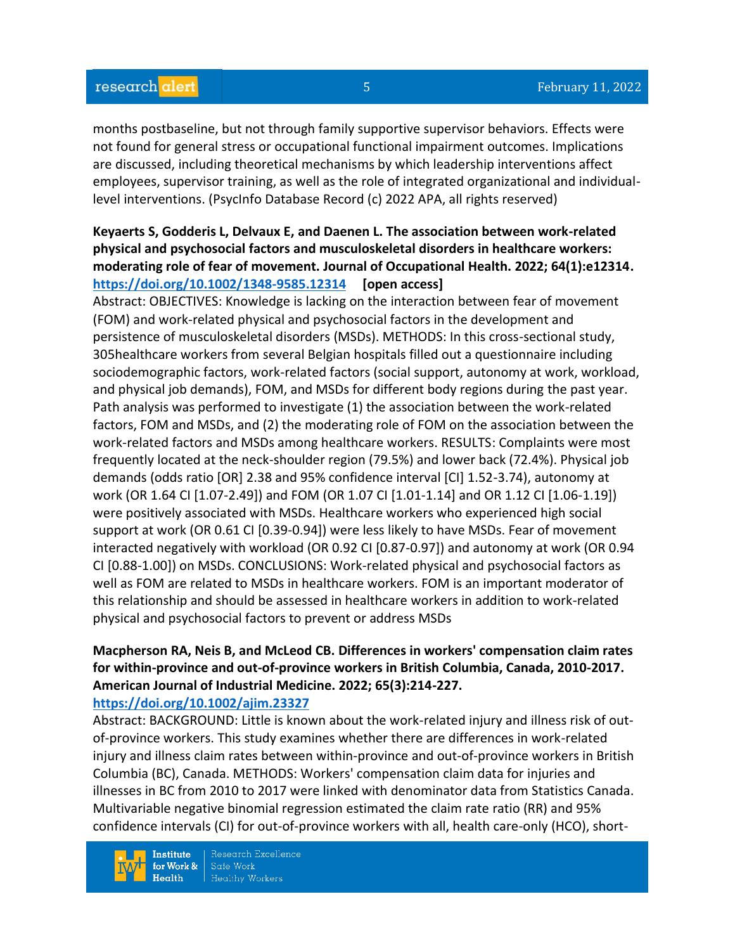months postbaseline, but not through family supportive supervisor behaviors. Effects were not found for general stress or occupational functional impairment outcomes. Implications are discussed, including theoretical mechanisms by which leadership interventions affect employees, supervisor training, as well as the role of integrated organizational and individuallevel interventions. (PsycInfo Database Record (c) 2022 APA, all rights reserved)

# **Keyaerts S, Godderis L, Delvaux E, and Daenen L. The association between work-related physical and psychosocial factors and musculoskeletal disorders in healthcare workers: moderating role of fear of movement. Journal of Occupational Health. 2022; 64(1):e12314. <https://doi.org/10.1002/1348-9585.12314> [open access]**

Abstract: OBJECTIVES: Knowledge is lacking on the interaction between fear of movement (FOM) and work-related physical and psychosocial factors in the development and persistence of musculoskeletal disorders (MSDs). METHODS: In this cross-sectional study, 305healthcare workers from several Belgian hospitals filled out a questionnaire including sociodemographic factors, work-related factors (social support, autonomy at work, workload, and physical job demands), FOM, and MSDs for different body regions during the past year. Path analysis was performed to investigate (1) the association between the work-related factors, FOM and MSDs, and (2) the moderating role of FOM on the association between the work-related factors and MSDs among healthcare workers. RESULTS: Complaints were most frequently located at the neck-shoulder region (79.5%) and lower back (72.4%). Physical job demands (odds ratio [OR] 2.38 and 95% confidence interval [CI] 1.52-3.74), autonomy at work (OR 1.64 CI [1.07-2.49]) and FOM (OR 1.07 CI [1.01-1.14] and OR 1.12 CI [1.06-1.19]) were positively associated with MSDs. Healthcare workers who experienced high social support at work (OR 0.61 CI [0.39-0.94]) were less likely to have MSDs. Fear of movement interacted negatively with workload (OR 0.92 CI [0.87-0.97]) and autonomy at work (OR 0.94 CI [0.88-1.00]) on MSDs. CONCLUSIONS: Work-related physical and psychosocial factors as well as FOM are related to MSDs in healthcare workers. FOM is an important moderator of this relationship and should be assessed in healthcare workers in addition to work-related physical and psychosocial factors to prevent or address MSDs

# **Macpherson RA, Neis B, and McLeod CB. Differences in workers' compensation claim rates for within-province and out-of-province workers in British Columbia, Canada, 2010-2017. American Journal of Industrial Medicine. 2022; 65(3):214-227.**

#### **<https://doi.org/10.1002/ajim.23327>**

Abstract: BACKGROUND: Little is known about the work-related injury and illness risk of outof-province workers. This study examines whether there are differences in work-related injury and illness claim rates between within-province and out-of-province workers in British Columbia (BC), Canada. METHODS: Workers' compensation claim data for injuries and illnesses in BC from 2010 to 2017 were linked with denominator data from Statistics Canada. Multivariable negative binomial regression estimated the claim rate ratio (RR) and 95% confidence intervals (CI) for out-of-province workers with all, health care-only (HCO), short-

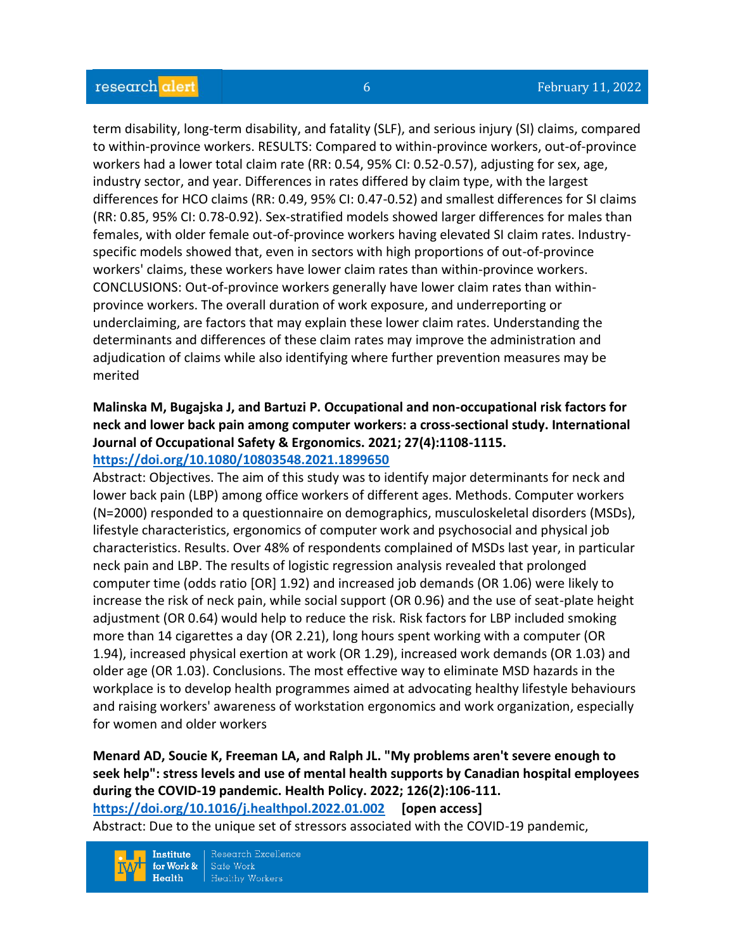term disability, long-term disability, and fatality (SLF), and serious injury (SI) claims, compared to within-province workers. RESULTS: Compared to within-province workers, out-of-province workers had a lower total claim rate (RR: 0.54, 95% CI: 0.52-0.57), adjusting for sex, age, industry sector, and year. Differences in rates differed by claim type, with the largest differences for HCO claims (RR: 0.49, 95% CI: 0.47-0.52) and smallest differences for SI claims (RR: 0.85, 95% CI: 0.78-0.92). Sex-stratified models showed larger differences for males than females, with older female out-of-province workers having elevated SI claim rates. Industryspecific models showed that, even in sectors with high proportions of out-of-province workers' claims, these workers have lower claim rates than within-province workers. CONCLUSIONS: Out-of-province workers generally have lower claim rates than withinprovince workers. The overall duration of work exposure, and underreporting or underclaiming, are factors that may explain these lower claim rates. Understanding the determinants and differences of these claim rates may improve the administration and adjudication of claims while also identifying where further prevention measures may be merited

# **Malinska M, Bugajska J, and Bartuzi P. Occupational and non-occupational risk factors for neck and lower back pain among computer workers: a cross-sectional study. International Journal of Occupational Safety & Ergonomics. 2021; 27(4):1108-1115. <https://doi.org/10.1080/10803548.2021.1899650>**

Abstract: Objectives. The aim of this study was to identify major determinants for neck and lower back pain (LBP) among office workers of different ages. Methods. Computer workers (N=2000) responded to a questionnaire on demographics, musculoskeletal disorders (MSDs), lifestyle characteristics, ergonomics of computer work and psychosocial and physical job characteristics. Results. Over 48% of respondents complained of MSDs last year, in particular neck pain and LBP. The results of logistic regression analysis revealed that prolonged computer time (odds ratio [OR] 1.92) and increased job demands (OR 1.06) were likely to increase the risk of neck pain, while social support (OR 0.96) and the use of seat-plate height adjustment (OR 0.64) would help to reduce the risk. Risk factors for LBP included smoking more than 14 cigarettes a day (OR 2.21), long hours spent working with a computer (OR 1.94), increased physical exertion at work (OR 1.29), increased work demands (OR 1.03) and older age (OR 1.03). Conclusions. The most effective way to eliminate MSD hazards in the workplace is to develop health programmes aimed at advocating healthy lifestyle behaviours and raising workers' awareness of workstation ergonomics and work organization, especially for women and older workers

# **Menard AD, Soucie K, Freeman LA, and Ralph JL. "My problems aren't severe enough to seek help": stress levels and use of mental health supports by Canadian hospital employees during the COVID-19 pandemic. Health Policy. 2022; 126(2):106-111.**

**<https://doi.org/10.1016/j.healthpol.2022.01.002> [open access]**

Abstract: Due to the unique set of stressors associated with the COVID-19 pandemic,

Research Excellence **Institute** Safe Work for Work &  $Health$ **Healthy Workers**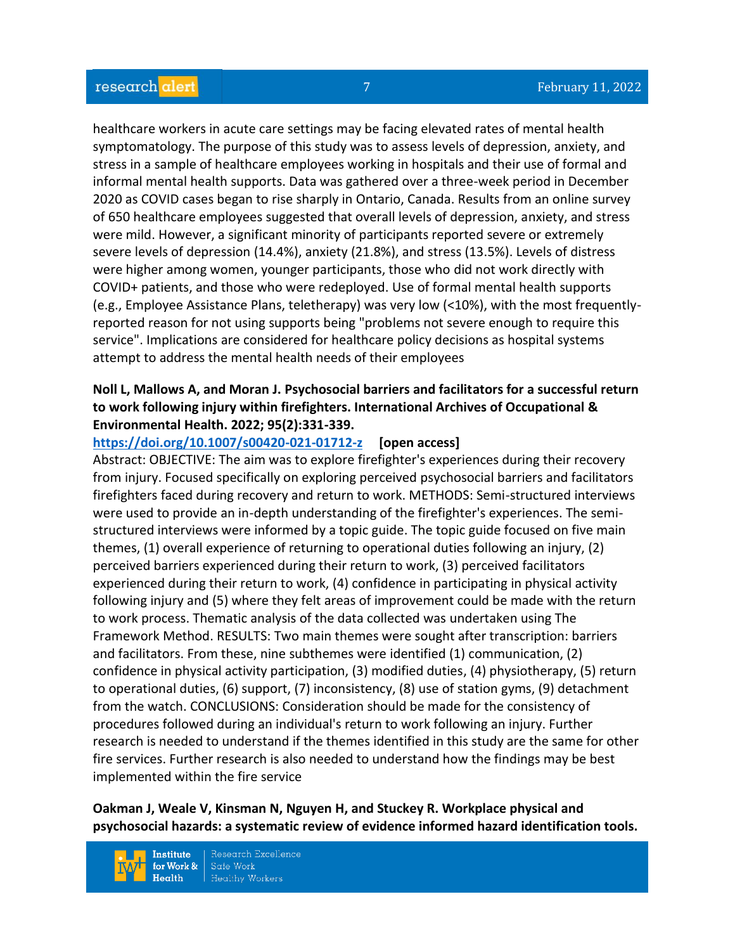healthcare workers in acute care settings may be facing elevated rates of mental health symptomatology. The purpose of this study was to assess levels of depression, anxiety, and stress in a sample of healthcare employees working in hospitals and their use of formal and informal mental health supports. Data was gathered over a three-week period in December 2020 as COVID cases began to rise sharply in Ontario, Canada. Results from an online survey of 650 healthcare employees suggested that overall levels of depression, anxiety, and stress were mild. However, a significant minority of participants reported severe or extremely severe levels of depression (14.4%), anxiety (21.8%), and stress (13.5%). Levels of distress were higher among women, younger participants, those who did not work directly with COVID+ patients, and those who were redeployed. Use of formal mental health supports (e.g., Employee Assistance Plans, teletherapy) was very low (<10%), with the most frequentlyreported reason for not using supports being "problems not severe enough to require this service". Implications are considered for healthcare policy decisions as hospital systems attempt to address the mental health needs of their employees

# **Noll L, Mallows A, and Moran J. Psychosocial barriers and facilitators for a successful return to work following injury within firefighters. International Archives of Occupational & Environmental Health. 2022; 95(2):331-339.**

**<https://doi.org/10.1007/s00420-021-01712-z> [open access]**

Abstract: OBJECTIVE: The aim was to explore firefighter's experiences during their recovery from injury. Focused specifically on exploring perceived psychosocial barriers and facilitators firefighters faced during recovery and return to work. METHODS: Semi-structured interviews were used to provide an in-depth understanding of the firefighter's experiences. The semistructured interviews were informed by a topic guide. The topic guide focused on five main themes, (1) overall experience of returning to operational duties following an injury, (2) perceived barriers experienced during their return to work, (3) perceived facilitators experienced during their return to work, (4) confidence in participating in physical activity following injury and (5) where they felt areas of improvement could be made with the return to work process. Thematic analysis of the data collected was undertaken using The Framework Method. RESULTS: Two main themes were sought after transcription: barriers and facilitators. From these, nine subthemes were identified (1) communication, (2) confidence in physical activity participation, (3) modified duties, (4) physiotherapy, (5) return to operational duties, (6) support, (7) inconsistency, (8) use of station gyms, (9) detachment from the watch. CONCLUSIONS: Consideration should be made for the consistency of procedures followed during an individual's return to work following an injury. Further research is needed to understand if the themes identified in this study are the same for other fire services. Further research is also needed to understand how the findings may be best implemented within the fire service

#### **Oakman J, Weale V, Kinsman N, Nguyen H, and Stuckey R. Workplace physical and psychosocial hazards: a systematic review of evidence informed hazard identification tools.**

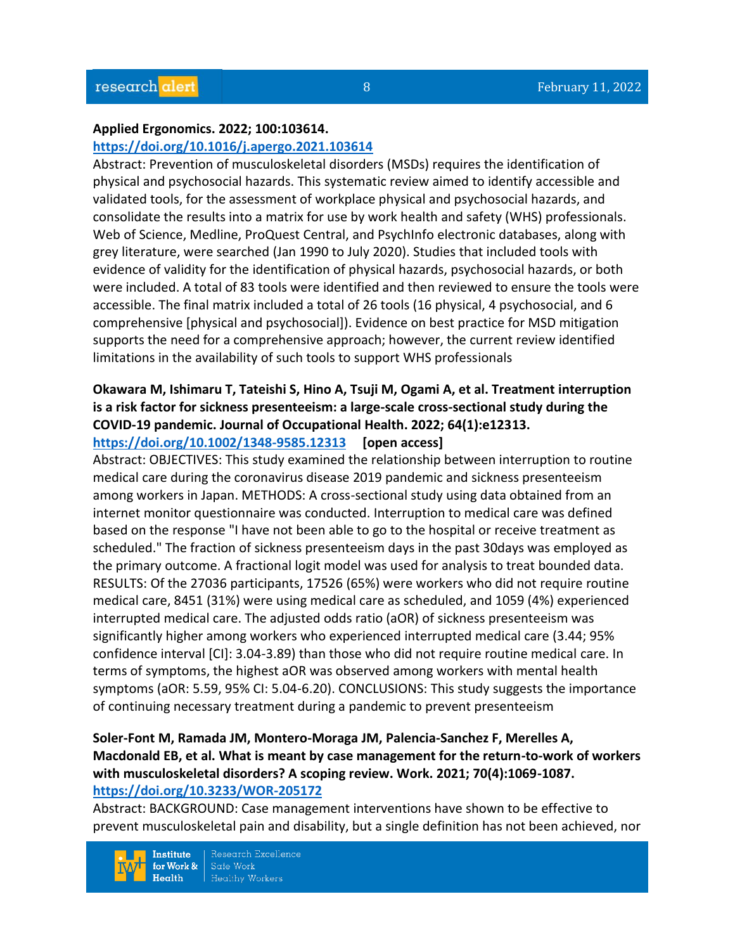#### **Applied Ergonomics. 2022; 100:103614.**

#### **<https://doi.org/10.1016/j.apergo.2021.103614>**

Abstract: Prevention of musculoskeletal disorders (MSDs) requires the identification of physical and psychosocial hazards. This systematic review aimed to identify accessible and validated tools, for the assessment of workplace physical and psychosocial hazards, and consolidate the results into a matrix for use by work health and safety (WHS) professionals. Web of Science, Medline, ProQuest Central, and PsychInfo electronic databases, along with grey literature, were searched (Jan 1990 to July 2020). Studies that included tools with evidence of validity for the identification of physical hazards, psychosocial hazards, or both were included. A total of 83 tools were identified and then reviewed to ensure the tools were accessible. The final matrix included a total of 26 tools (16 physical, 4 psychosocial, and 6 comprehensive [physical and psychosocial]). Evidence on best practice for MSD mitigation supports the need for a comprehensive approach; however, the current review identified limitations in the availability of such tools to support WHS professionals

#### **Okawara M, Ishimaru T, Tateishi S, Hino A, Tsuji M, Ogami A, et al. Treatment interruption is a risk factor for sickness presenteeism: a large-scale cross-sectional study during the COVID-19 pandemic. Journal of Occupational Health. 2022; 64(1):e12313. <https://doi.org/10.1002/1348-9585.12313> [open access]**

Abstract: OBJECTIVES: This study examined the relationship between interruption to routine medical care during the coronavirus disease 2019 pandemic and sickness presenteeism among workers in Japan. METHODS: A cross-sectional study using data obtained from an internet monitor questionnaire was conducted. Interruption to medical care was defined based on the response "I have not been able to go to the hospital or receive treatment as scheduled." The fraction of sickness presenteeism days in the past 30days was employed as the primary outcome. A fractional logit model was used for analysis to treat bounded data. RESULTS: Of the 27036 participants, 17526 (65%) were workers who did not require routine medical care, 8451 (31%) were using medical care as scheduled, and 1059 (4%) experienced interrupted medical care. The adjusted odds ratio (aOR) of sickness presenteeism was significantly higher among workers who experienced interrupted medical care (3.44; 95% confidence interval [CI]: 3.04-3.89) than those who did not require routine medical care. In terms of symptoms, the highest aOR was observed among workers with mental health symptoms (aOR: 5.59, 95% CI: 5.04-6.20). CONCLUSIONS: This study suggests the importance of continuing necessary treatment during a pandemic to prevent presenteeism

# **Soler-Font M, Ramada JM, Montero-Moraga JM, Palencia-Sanchez F, Merelles A, Macdonald EB, et al. What is meant by case management for the return-to-work of workers with musculoskeletal disorders? A scoping review. Work. 2021; 70(4):1069-1087. <https://doi.org/10.3233/WOR-205172>**

Abstract: BACKGROUND: Case management interventions have shown to be effective to prevent musculoskeletal pain and disability, but a single definition has not been achieved, nor

Research Excellence **Institute** Safe Work for Work &  $Heath$ **Healthy Workers**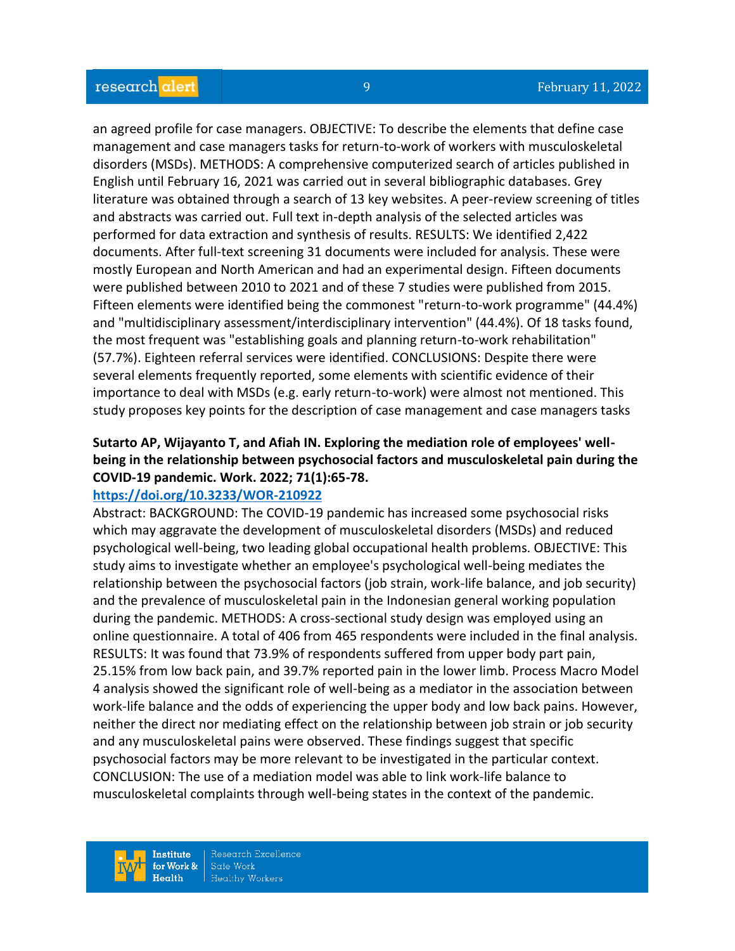an agreed profile for case managers. OBJECTIVE: To describe the elements that define case management and case managers tasks for return-to-work of workers with musculoskeletal disorders (MSDs). METHODS: A comprehensive computerized search of articles published in English until February 16, 2021 was carried out in several bibliographic databases. Grey literature was obtained through a search of 13 key websites. A peer-review screening of titles and abstracts was carried out. Full text in-depth analysis of the selected articles was performed for data extraction and synthesis of results. RESULTS: We identified 2,422 documents. After full-text screening 31 documents were included for analysis. These were mostly European and North American and had an experimental design. Fifteen documents were published between 2010 to 2021 and of these 7 studies were published from 2015. Fifteen elements were identified being the commonest "return-to-work programme" (44.4%) and "multidisciplinary assessment/interdisciplinary intervention" (44.4%). Of 18 tasks found, the most frequent was "establishing goals and planning return-to-work rehabilitation" (57.7%). Eighteen referral services were identified. CONCLUSIONS: Despite there were several elements frequently reported, some elements with scientific evidence of their importance to deal with MSDs (e.g. early return-to-work) were almost not mentioned. This study proposes key points for the description of case management and case managers tasks

# **Sutarto AP, Wijayanto T, and Afiah IN. Exploring the mediation role of employees' wellbeing in the relationship between psychosocial factors and musculoskeletal pain during the COVID-19 pandemic. Work. 2022; 71(1):65-78.**

#### **<https://doi.org/10.3233/WOR-210922>**

Abstract: BACKGROUND: The COVID-19 pandemic has increased some psychosocial risks which may aggravate the development of musculoskeletal disorders (MSDs) and reduced psychological well-being, two leading global occupational health problems. OBJECTIVE: This study aims to investigate whether an employee's psychological well-being mediates the relationship between the psychosocial factors (job strain, work-life balance, and job security) and the prevalence of musculoskeletal pain in the Indonesian general working population during the pandemic. METHODS: A cross-sectional study design was employed using an online questionnaire. A total of 406 from 465 respondents were included in the final analysis. RESULTS: It was found that 73.9% of respondents suffered from upper body part pain, 25.15% from low back pain, and 39.7% reported pain in the lower limb. Process Macro Model 4 analysis showed the significant role of well-being as a mediator in the association between work-life balance and the odds of experiencing the upper body and low back pains. However, neither the direct nor mediating effect on the relationship between job strain or job security and any musculoskeletal pains were observed. These findings suggest that specific psychosocial factors may be more relevant to be investigated in the particular context. CONCLUSION: The use of a mediation model was able to link work-life balance to musculoskeletal complaints through well-being states in the context of the pandemic.